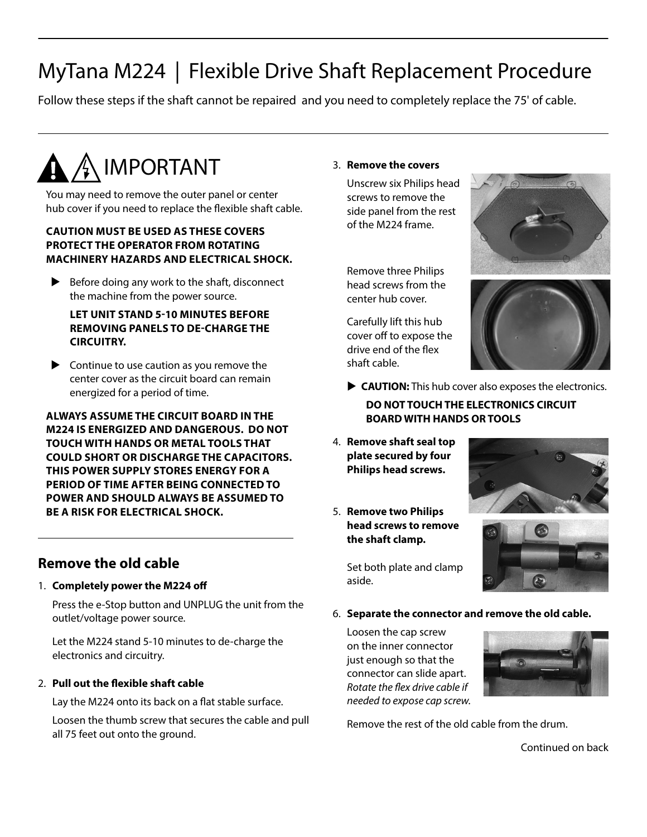# MyTana M224 | Flexible Drive Shaft Replacement Procedure

Follow these steps if the shaft cannot be repaired and you need to completely replace the 75' of cable.

# $\blacktriangle$  / $\blacktriangle$  IMPORTANT

You may need to remove the outer panel or center hub cover if you need to replace the flexible shaft cable.

#### **CAUTION MUST BE USED AS THESE COVERS PROTECT THE OPERATOR FROM ROTATING MACHINERY HAZARDS AND ELECTRICAL SHOCK.**

Before doing any work to the shaft, disconnect the machine from the power source.

#### **LET UNIT STAND 5-10 MINUTES BEFORE REMOVING PANELS TO DE-CHARGE THE CIRCUITRY.**

 $\triangleright$  Continue to use caution as you remove the center cover as the circuit board can remain energized for a period of time.

**ALWAYS ASSUME THE CIRCUIT BOARD IN THE M224 IS ENERGIZED AND DANGEROUS. DO NOT TOUCH WITH HANDS OR METAL TOOLS THAT COULD SHORT OR DISCHARGE THE CAPACITORS. THIS POWER SUPPLY STORES ENERGY FOR A PERIOD OF TIME AFTER BEING CONNECTED TO POWER AND SHOULD ALWAYS BE ASSUMED TO BE A RISK FOR ELECTRICAL SHOCK.**

### **Remove the old cable**

#### 1. **Completely power the M224 off**

Press the e-Stop button and UNPLUG the unit from the outlet/voltage power source.

Let the M224 stand 5-10 minutes to de-charge the electronics and circuitry.

#### 2. **Pull out the flexible shaft cable**

Lay the M224 onto its back on a flat stable surface.

Loosen the thumb screw that secures the cable and pull all 75 feet out onto the ground.

#### 3. **Remove the covers**

Unscrew six Philips head screws to remove the side panel from the rest of the M224 frame.

Remove three Philips head screws from the center hub cover.

Carefully lift this hub cover off to expose the drive end of the flex shaft cable.





**CAUTION:** This hub cover also exposes the electronics.

**DO NOT TOUCH THE ELECTRONICS CIRCUIT BOARD WITH HANDS OR TOOLS** 

- 4. **Remove shaft seal top plate secured by four Philips head screws.**
- 5. **Remove two Philips head screws to remove the shaft clamp.**

Set both plate and clamp aside.





6. **Separate the connector and remove the old cable.**

Loosen the cap screw on the inner connector just enough so that the connector can slide apart. *Rotate the flex drive cable if needed to expose cap screw.* 



Remove the rest of the old cable from the drum.

Continued on back